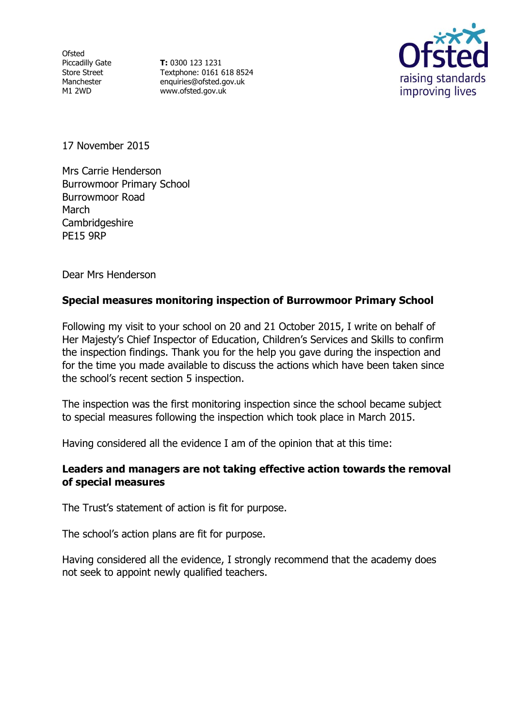**Ofsted** Piccadilly Gate Store Street Manchester M1 2WD

**T:** 0300 123 1231 Textphone: 0161 618 8524 enquiries@ofsted.gov.uk www.ofsted.gov.uk



17 November 2015

Mrs Carrie Henderson Burrowmoor Primary School Burrowmoor Road March **Cambridgeshire** PE15 9RP

Dear Mrs Henderson

# **Special measures monitoring inspection of Burrowmoor Primary School**

Following my visit to your school on 20 and 21 October 2015, I write on behalf of Her Majesty's Chief Inspector of Education, Children's Services and Skills to confirm the inspection findings. Thank you for the help you gave during the inspection and for the time you made available to discuss the actions which have been taken since the school's recent section 5 inspection.

The inspection was the first monitoring inspection since the school became subject to special measures following the inspection which took place in March 2015.

Having considered all the evidence I am of the opinion that at this time:

## **Leaders and managers are not taking effective action towards the removal of special measures**

The Trust's statement of action is fit for purpose.

The school's action plans are fit for purpose.

Having considered all the evidence, I strongly recommend that the academy does not seek to appoint newly qualified teachers.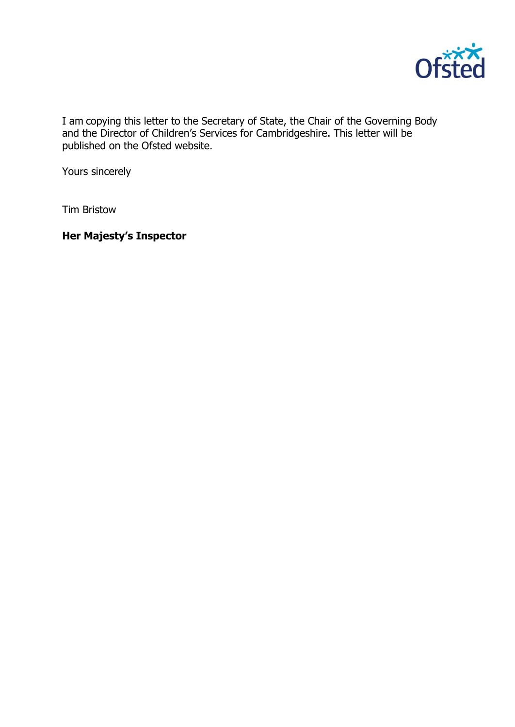

I am copying this letter to the Secretary of State, the Chair of the Governing Body and the Director of Children's Services for Cambridgeshire. This letter will be published on the Ofsted website.

Yours sincerely

Tim Bristow

**Her Majesty's Inspector**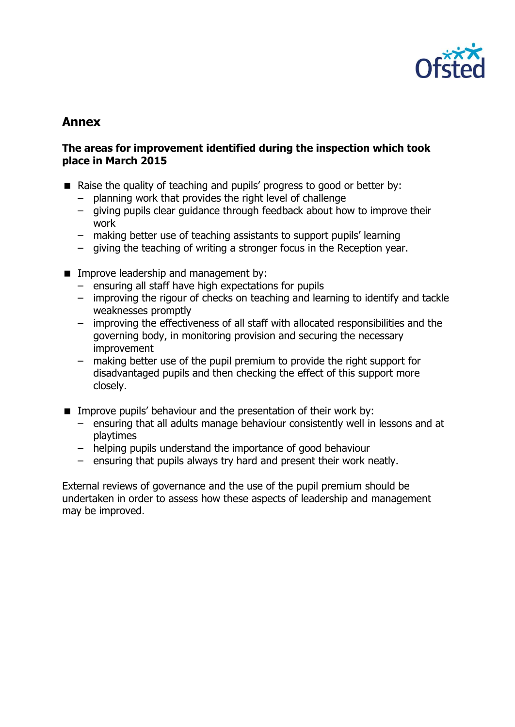

# **Annex**

## **The areas for improvement identified during the inspection which took place in March 2015**

- Raise the quality of teaching and pupils' progress to good or better by:
	- planning work that provides the right level of challenge
	- giving pupils clear guidance through feedback about how to improve their work
	- making better use of teaching assistants to support pupils' learning
	- giving the teaching of writing a stronger focus in the Reception year.
- **IMPROPED EXAMPLE A** Improve leadership and management by:
	- ensuring all staff have high expectations for pupils
	- improving the rigour of checks on teaching and learning to identify and tackle weaknesses promptly
	- improving the effectiveness of all staff with allocated responsibilities and the governing body, in monitoring provision and securing the necessary improvement
	- making better use of the pupil premium to provide the right support for disadvantaged pupils and then checking the effect of this support more closely.
- **IMPROVE PUPILE** behaviour and the presentation of their work by:
	- ensuring that all adults manage behaviour consistently well in lessons and at playtimes
	- helping pupils understand the importance of good behaviour
	- ensuring that pupils always try hard and present their work neatly.

External reviews of governance and the use of the pupil premium should be undertaken in order to assess how these aspects of leadership and management may be improved.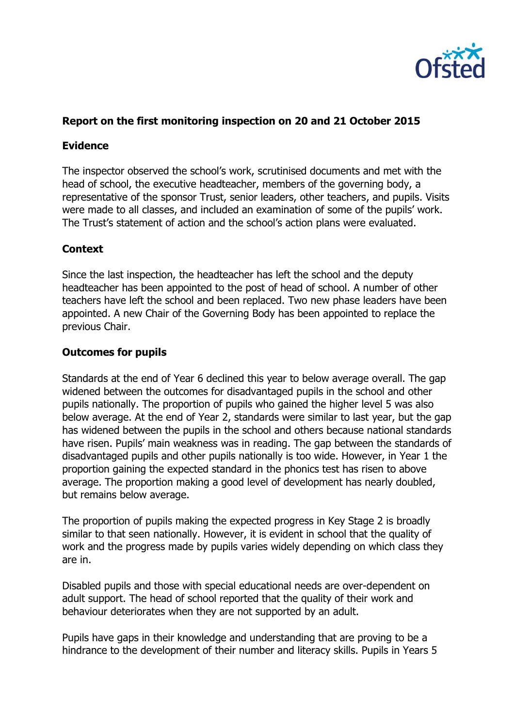

# **Report on the first monitoring inspection on 20 and 21 October 2015**

## **Evidence**

The inspector observed the school's work, scrutinised documents and met with the head of school, the executive headteacher, members of the governing body, a representative of the sponsor Trust, senior leaders, other teachers, and pupils. Visits were made to all classes, and included an examination of some of the pupils' work. The Trust's statement of action and the school's action plans were evaluated.

# **Context**

Since the last inspection, the headteacher has left the school and the deputy headteacher has been appointed to the post of head of school. A number of other teachers have left the school and been replaced. Two new phase leaders have been appointed. A new Chair of the Governing Body has been appointed to replace the previous Chair.

## **Outcomes for pupils**

Standards at the end of Year 6 declined this year to below average overall. The gap widened between the outcomes for disadvantaged pupils in the school and other pupils nationally. The proportion of pupils who gained the higher level 5 was also below average. At the end of Year 2, standards were similar to last year, but the gap has widened between the pupils in the school and others because national standards have risen. Pupils' main weakness was in reading. The gap between the standards of disadvantaged pupils and other pupils nationally is too wide. However, in Year 1 the proportion gaining the expected standard in the phonics test has risen to above average. The proportion making a good level of development has nearly doubled, but remains below average.

The proportion of pupils making the expected progress in Key Stage 2 is broadly similar to that seen nationally. However, it is evident in school that the quality of work and the progress made by pupils varies widely depending on which class they are in.

Disabled pupils and those with special educational needs are over-dependent on adult support. The head of school reported that the quality of their work and behaviour deteriorates when they are not supported by an adult.

Pupils have gaps in their knowledge and understanding that are proving to be a hindrance to the development of their number and literacy skills. Pupils in Years 5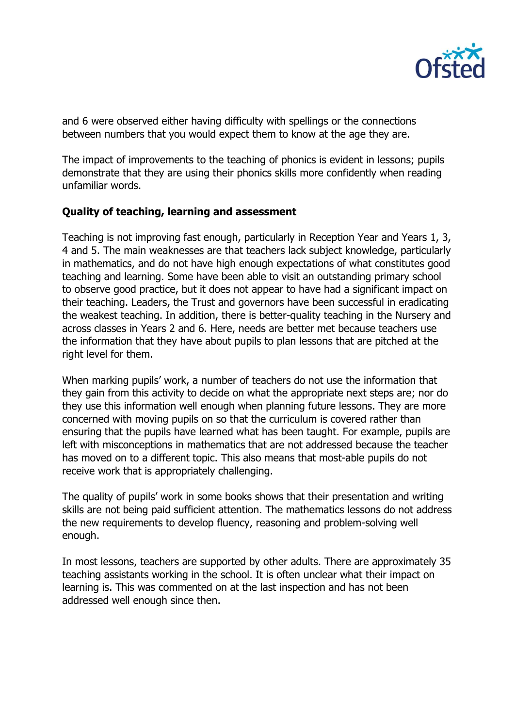

and 6 were observed either having difficulty with spellings or the connections between numbers that you would expect them to know at the age they are.

The impact of improvements to the teaching of phonics is evident in lessons; pupils demonstrate that they are using their phonics skills more confidently when reading unfamiliar words.

# **Quality of teaching, learning and assessment**

Teaching is not improving fast enough, particularly in Reception Year and Years 1, 3, 4 and 5. The main weaknesses are that teachers lack subject knowledge, particularly in mathematics, and do not have high enough expectations of what constitutes good teaching and learning. Some have been able to visit an outstanding primary school to observe good practice, but it does not appear to have had a significant impact on their teaching. Leaders, the Trust and governors have been successful in eradicating the weakest teaching. In addition, there is better-quality teaching in the Nursery and across classes in Years 2 and 6. Here, needs are better met because teachers use the information that they have about pupils to plan lessons that are pitched at the right level for them.

When marking pupils' work, a number of teachers do not use the information that they gain from this activity to decide on what the appropriate next steps are; nor do they use this information well enough when planning future lessons. They are more concerned with moving pupils on so that the curriculum is covered rather than ensuring that the pupils have learned what has been taught. For example, pupils are left with misconceptions in mathematics that are not addressed because the teacher has moved on to a different topic. This also means that most-able pupils do not receive work that is appropriately challenging.

The quality of pupils' work in some books shows that their presentation and writing skills are not being paid sufficient attention. The mathematics lessons do not address the new requirements to develop fluency, reasoning and problem-solving well enough.

In most lessons, teachers are supported by other adults. There are approximately 35 teaching assistants working in the school. It is often unclear what their impact on learning is. This was commented on at the last inspection and has not been addressed well enough since then.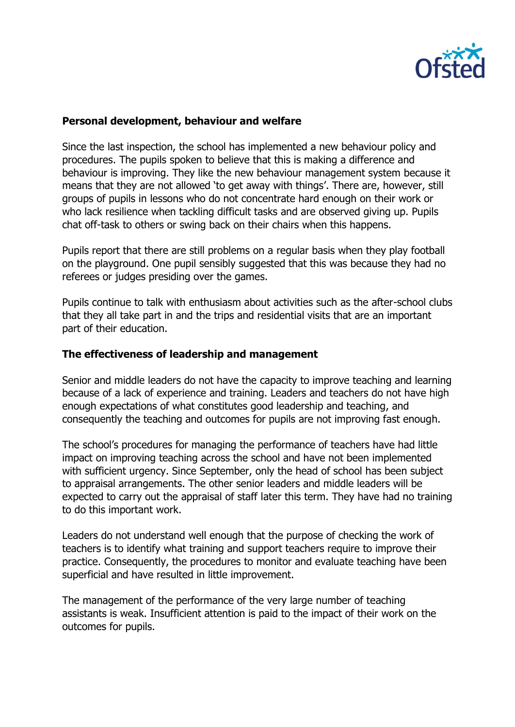

#### **Personal development, behaviour and welfare**

Since the last inspection, the school has implemented a new behaviour policy and procedures. The pupils spoken to believe that this is making a difference and behaviour is improving. They like the new behaviour management system because it means that they are not allowed 'to get away with things'. There are, however, still groups of pupils in lessons who do not concentrate hard enough on their work or who lack resilience when tackling difficult tasks and are observed giving up. Pupils chat off-task to others or swing back on their chairs when this happens.

Pupils report that there are still problems on a regular basis when they play football on the playground. One pupil sensibly suggested that this was because they had no referees or judges presiding over the games.

Pupils continue to talk with enthusiasm about activities such as the after-school clubs that they all take part in and the trips and residential visits that are an important part of their education.

#### **The effectiveness of leadership and management**

Senior and middle leaders do not have the capacity to improve teaching and learning because of a lack of experience and training. Leaders and teachers do not have high enough expectations of what constitutes good leadership and teaching, and consequently the teaching and outcomes for pupils are not improving fast enough.

The school's procedures for managing the performance of teachers have had little impact on improving teaching across the school and have not been implemented with sufficient urgency. Since September, only the head of school has been subject to appraisal arrangements. The other senior leaders and middle leaders will be expected to carry out the appraisal of staff later this term. They have had no training to do this important work.

Leaders do not understand well enough that the purpose of checking the work of teachers is to identify what training and support teachers require to improve their practice. Consequently, the procedures to monitor and evaluate teaching have been superficial and have resulted in little improvement.

The management of the performance of the very large number of teaching assistants is weak. Insufficient attention is paid to the impact of their work on the outcomes for pupils.